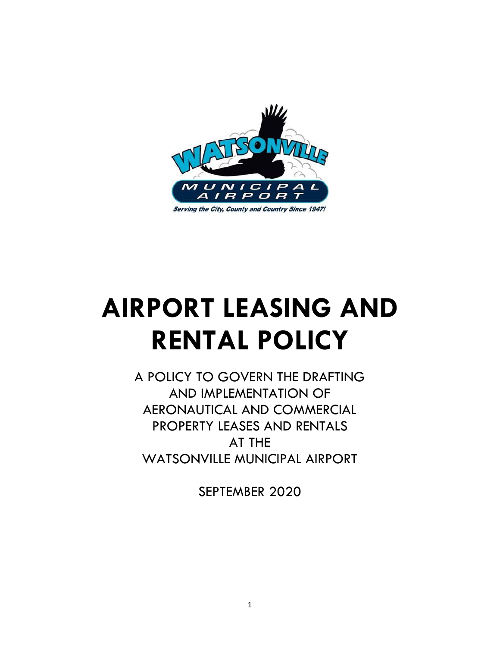

# **AIRPORT LEASING AND RENTAL POLICY**

A POLICY TO GOVERN THE DRAFTING AND IMPLEMENTATION OF AERONAUTICAL AND COMMERCIAL PROPERTY LEASES AND RENTALS AT THE WATSONVILLE MUNICIPAL AIRPORT

SEPTEMBER 2020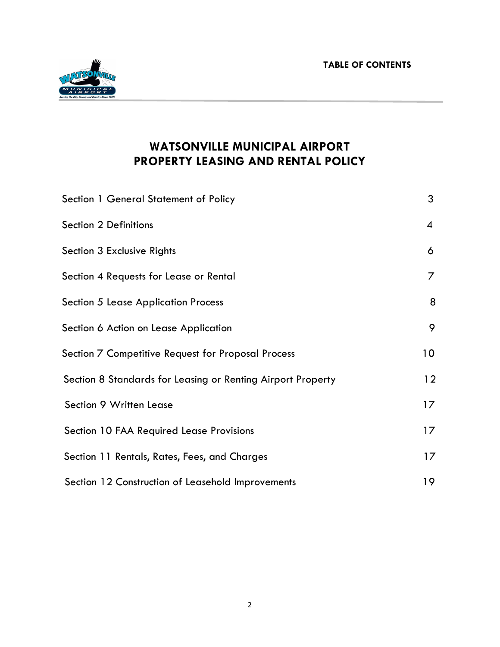**TABLE OF CONTENTS**



# **WATSONVILLE MUNICIPAL AIRPORT PROPERTY LEASING AND RENTAL POLICY**

| Section 1 General Statement of Policy                       | 3               |
|-------------------------------------------------------------|-----------------|
| <b>Section 2 Definitions</b>                                | $\overline{4}$  |
| Section 3 Exclusive Rights                                  | 6               |
| Section 4 Requests for Lease or Rental                      | 7               |
| <b>Section 5 Lease Application Process</b>                  | 8               |
| Section 6 Action on Lease Application                       | 9               |
| Section 7 Competitive Request for Proposal Process          | 10 <sub>o</sub> |
| Section 8 Standards for Leasing or Renting Airport Property | 12              |
| Section 9 Written Lease                                     | 17              |
| Section 10 FAA Required Lease Provisions                    | 17              |
| Section 11 Rentals, Rates, Fees, and Charges                | 17              |
| Section 12 Construction of Leasehold Improvements           | 19              |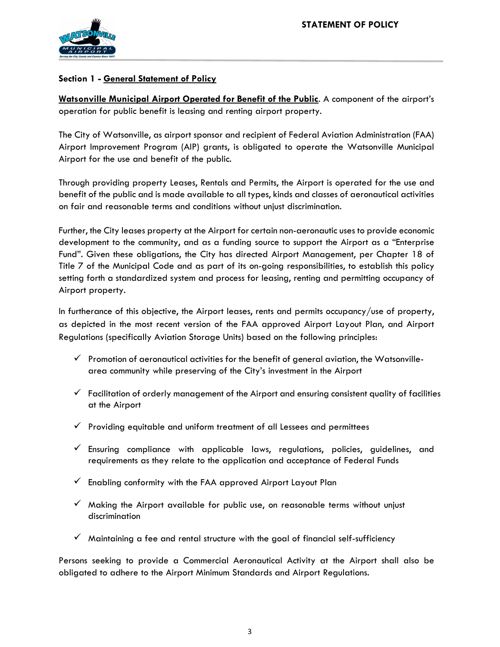

# **Section 1 - General Statement of Policy**

**Watsonville Municipal Airport Operated for Benefit of the Public**. A component of the airport's operation for public benefit is leasing and renting airport property.

The City of Watsonville, as airport sponsor and recipient of Federal Aviation Administration (FAA) Airport Improvement Program (AIP) grants, is obligated to operate the Watsonville Municipal Airport for the use and benefit of the public.

Through providing property Leases, Rentals and Permits, the Airport is operated for the use and benefit of the public and is made available to all types, kinds and classes of aeronautical activities on fair and reasonable terms and conditions without unjust discrimination.

Further, the City leases property at the Airport for certain non-aeronautic uses to provide economic development to the community, and as a funding source to support the Airport as a "Enterprise Fund". Given these obligations, the City has directed Airport Management, per Chapter 18 of Title 7 of the Municipal Code and as part of its on-going responsibilities, to establish this policy setting forth a standardized system and process for leasing, renting and permitting occupancy of Airport property.

In furtherance of this objective, the Airport leases, rents and permits occupancy/use of property, as depicted in the most recent version of the FAA approved Airport Layout Plan, and Airport Regulations (specifically Aviation Storage Units) based on the following principles:

- $\checkmark$  Promotion of aeronautical activities for the benefit of general aviation, the Watsonvillearea community while preserving of the City's investment in the Airport
- $\checkmark$  Facilitation of orderly management of the Airport and ensuring consistent quality of facilities at the Airport
- $\checkmark$  Providing equitable and uniform treatment of all Lessees and permittees
- $\checkmark$  Ensuring compliance with applicable laws, regulations, policies, guidelines, and requirements as they relate to the application and acceptance of Federal Funds
- $\checkmark$  Enabling conformity with the FAA approved Airport Layout Plan
- $\checkmark$  Making the Airport available for public use, on reasonable terms without unjust discrimination
- ✓ Maintaining a fee and rental structure with the goal of financial self-sufficiency

Persons seeking to provide a Commercial Aeronautical Activity at the Airport shall also be obligated to adhere to the Airport Minimum Standards and Airport Regulations.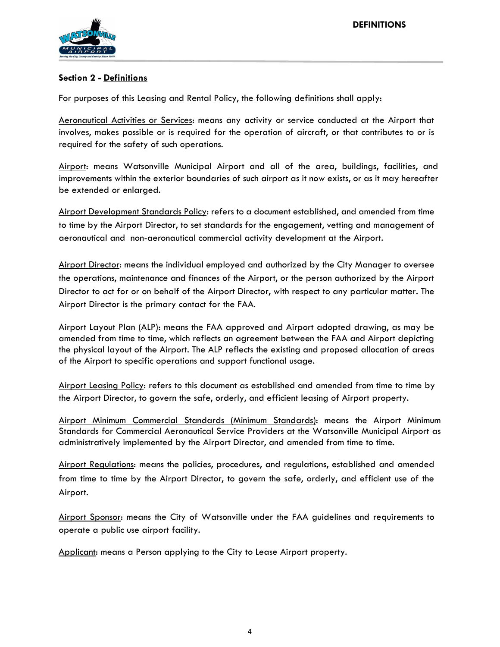

# **Section 2 - Definitions**

For purposes of this Leasing and Rental Policy, the following definitions shall apply:

Aeronautical Activities or Services: means any activity or service conducted at the Airport that involves, makes possible or is required for the operation of aircraft, or that contributes to or is required for the safety of such operations.

Airport: means Watsonville Municipal Airport and all of the area, buildings, facilities, and improvements within the exterior boundaries of such airport as it now exists, or as it may hereafter be extended or enlarged.

Airport Development Standards Policy: refers to a document established, and amended from time to time by the Airport Director, to set standards for the engagement, vetting and management of aeronautical and non-aeronautical commercial activity development at the Airport.

Airport Director: means the individual employed and authorized by the City Manager to oversee the operations, maintenance and finances of the Airport, or the person authorized by the Airport Director to act for or on behalf of the Airport Director, with respect to any particular matter. The Airport Director is the primary contact for the FAA.

Airport Layout Plan (ALP): means the FAA approved and Airport adopted drawing, as may be amended from time to time, which reflects an agreement between the FAA and Airport depicting the physical layout of the Airport. The ALP reflects the existing and proposed allocation of areas of the Airport to specific operations and support functional usage.

Airport Leasing Policy: refers to this document as established and amended from time to time by the Airport Director, to govern the safe, orderly, and efficient leasing of Airport property.

Airport Minimum Commercial Standards (Minimum Standards): means the Airport Minimum Standards for Commercial Aeronautical Service Providers at the Watsonville Municipal Airport as administratively implemented by the Airport Director, and amended from time to time.

Airport Regulations: means the policies, procedures, and regulations, established and amended from time to time by the Airport Director, to govern the safe, orderly, and efficient use of the Airport.

Airport Sponsor: means the City of Watsonville under the FAA guidelines and requirements to operate a public use airport facility.

Applicant: means a Person applying to the City to Lease Airport property.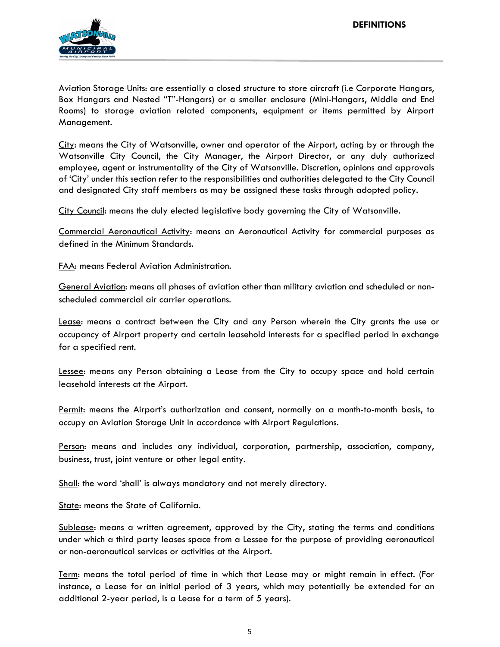

Aviation Storage Units: are essentially a closed structure to store aircraft (i.e Corporate Hangars, Box Hangars and Nested "T"-Hangars) or a smaller enclosure (Mini-Hangars, Middle and End Rooms) to storage aviation related components, equipment or items permitted by Airport Management.

City: means the City of Watsonville, owner and operator of the Airport, acting by or through the Watsonville City Council, the City Manager, the Airport Director, or any duly authorized employee, agent or instrumentality of the City of Watsonville. Discretion, opinions and approvals of 'City' under this section refer to the responsibilities and authorities delegated to the City Council and designated City staff members as may be assigned these tasks through adopted policy.

City Council: means the duly elected legislative body governing the City of Watsonville.

Commercial Aeronautical Activity: means an Aeronautical Activity for commercial purposes as defined in the Minimum Standards.

FAA: means Federal Aviation Administration.

General Aviation: means all phases of aviation other than military aviation and scheduled or nonscheduled commercial air carrier operations.

Lease: means a contract between the City and any Person wherein the City grants the use or occupancy of Airport property and certain leasehold interests for a specified period in exchange for a specified rent.

Lessee: means any Person obtaining a Lease from the City to occupy space and hold certain leasehold interests at the Airport.

Permit: means the Airport's authorization and consent, normally on a month-to-month basis, to occupy an Aviation Storage Unit in accordance with Airport Regulations.

Person: means and includes any individual, corporation, partnership, association, company, business, trust, joint venture or other legal entity.

Shall: the word 'shall' is always mandatory and not merely directory.

State: means the State of California.

Sublease: means a written agreement, approved by the City, stating the terms and conditions under which a third party leases space from a Lessee for the purpose of providing aeronautical or non-aeronautical services or activities at the Airport.

Term: means the total period of time in which that Lease may or might remain in effect. (For instance, a Lease for an initial period of 3 years, which may potentially be extended for an additional 2-year period, is a Lease for a term of 5 years).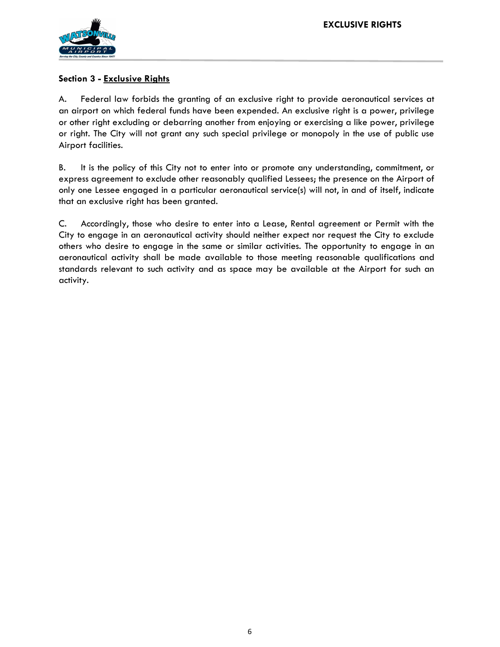

# **Section 3 - Exclusive Rights**

A. Federal law forbids the granting of an exclusive right to provide aeronautical services at an airport on which federal funds have been expended. An exclusive right is a power, privilege or other right excluding or debarring another from enjoying or exercising a like power, privilege or right. The City will not grant any such special privilege or monopoly in the use of public use Airport facilities.

B. It is the policy of this City not to enter into or promote any understanding, commitment, or express agreement to exclude other reasonably qualified Lessees; the presence on the Airport of only one Lessee engaged in a particular aeronautical service(s) will not, in and of itself, indicate that an exclusive right has been granted.

C. Accordingly, those who desire to enter into a Lease, Rental agreement or Permit with the City to engage in an aeronautical activity should neither expect nor request the City to exclude others who desire to engage in the same or similar activities. The opportunity to engage in an aeronautical activity shall be made available to those meeting reasonable qualifications and standards relevant to such activity and as space may be available at the Airport for such an activity.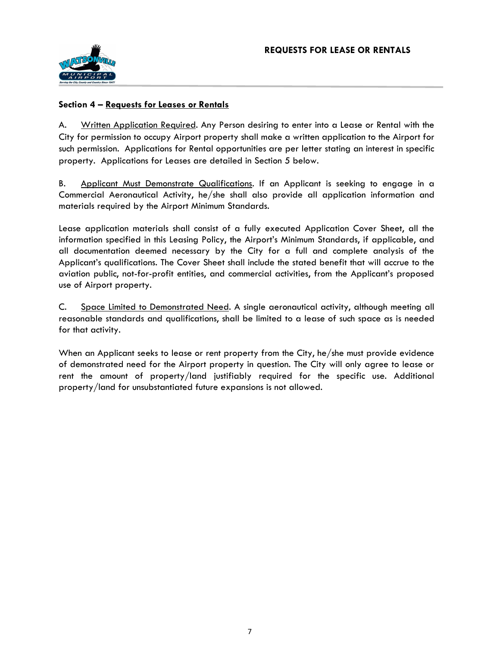

#### **Section 4 – Requests for Leases or Rentals**

A. Written Application Required. Any Person desiring to enter into a Lease or Rental with the City for permission to occupy Airport property shall make a written application to the Airport for such permission. Applications for Rental opportunities are per letter stating an interest in specific property. Applications for Leases are detailed in Section 5 below.

B. Applicant Must Demonstrate Qualifications. If an Applicant is seeking to engage in a Commercial Aeronautical Activity, he/she shall also provide all application information and materials required by the Airport Minimum Standards.

Lease application materials shall consist of a fully executed Application Cover Sheet, all the information specified in this Leasing Policy, the Airport's Minimum Standards, if applicable, and all documentation deemed necessary by the City for a full and complete analysis of the Applicant's qualifications. The Cover Sheet shall include the stated benefit that will accrue to the aviation public, not-for-profit entities, and commercial activities, from the Applicant's proposed use of Airport property.

C. Space Limited to Demonstrated Need. A single aeronautical activity, although meeting all reasonable standards and qualifications, shall be limited to a lease of such space as is needed for that activity.

When an Applicant seeks to lease or rent property from the City, he/she must provide evidence of demonstrated need for the Airport property in question. The City will only agree to lease or rent the amount of property/land justifiably required for the specific use. Additional property/land for unsubstantiated future expansions is not allowed.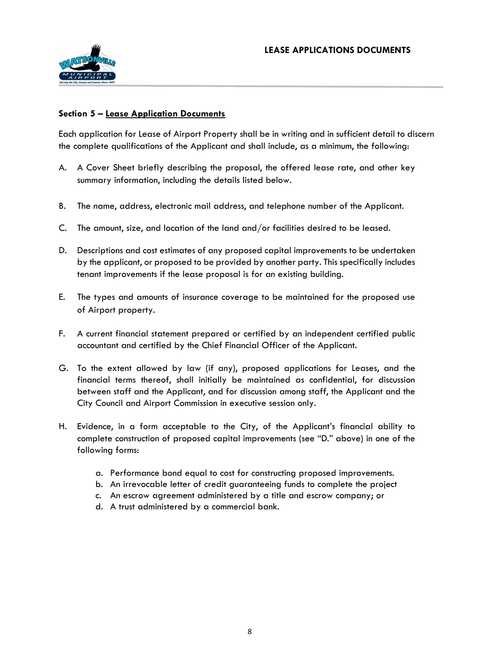

# **Section 5 – Lease Application Documents**

Each application for Lease of Airport Property shall be in writing and in sufficient detail to discern the complete qualifications of the Applicant and shall include, as a minimum, the following:

- A. A Cover Sheet briefly describing the proposal, the offered lease rate, and other key summary information, including the details listed below.
- B. The name, address, electronic mail address, and telephone number of the Applicant.
- C. The amount, size, and location of the land and/or facilities desired to be leased.
- D. Descriptions and cost estimates of any proposed capital improvements to be undertaken by the applicant, or proposed to be provided by another party. This specifically includes tenant improvements if the lease proposal is for an existing building.
- E. The types and amounts of insurance coverage to be maintained for the proposed use of Airport property.
- F. A current financial statement prepared or certified by an independent certified public accountant and certified by the Chief Financial Officer of the Applicant.
- G. To the extent allowed by law (if any), proposed applications for Leases, and the financial terms thereof, shall initially be maintained as confidential, for discussion between staff and the Applicant, and for discussion among staff, the Applicant and the City Council and Airport Commission in executive session only.
- H. Evidence, in a form acceptable to the City, of the Applicant's financial ability to complete construction of proposed capital improvements (see "D." above) in one of the following forms:
	- a. Performance bond equal to cost for constructing proposed improvements.
	- b. An irrevocable letter of credit guaranteeing funds to complete the project
	- c. An escrow agreement administered by a title and escrow company; or
	- d. A trust administered by a commercial bank.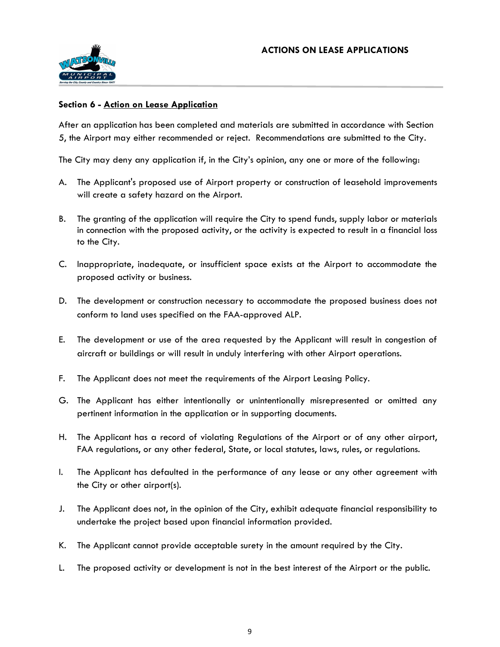

# **Section 6 - Action on Lease Application**

After an application has been completed and materials are submitted in accordance with Section 5, the Airport may either recommended or reject. Recommendations are submitted to the City.

The City may deny any application if, in the City's opinion, any one or more of the following:

- A. The Applicant's proposed use of Airport property or construction of leasehold improvements will create a safety hazard on the Airport.
- B. The granting of the application will require the City to spend funds, supply labor or materials in connection with the proposed activity, or the activity is expected to result in a financial loss to the City.
- C. Inappropriate, inadequate, or insufficient space exists at the Airport to accommodate the proposed activity or business.
- D. The development or construction necessary to accommodate the proposed business does not conform to land uses specified on the FAA-approved ALP.
- E. The development or use of the area requested by the Applicant will result in congestion of aircraft or buildings or will result in unduly interfering with other Airport operations.
- F. The Applicant does not meet the requirements of the Airport Leasing Policy.
- G. The Applicant has either intentionally or unintentionally misrepresented or omitted any pertinent information in the application or in supporting documents.
- H. The Applicant has a record of violating Regulations of the Airport or of any other airport, FAA regulations, or any other federal, State, or local statutes, laws, rules, or regulations.
- I. The Applicant has defaulted in the performance of any lease or any other agreement with the City or other airport(s).
- J. The Applicant does not, in the opinion of the City, exhibit adequate financial responsibility to undertake the project based upon financial information provided.
- K. The Applicant cannot provide acceptable surety in the amount required by the City.
- L. The proposed activity or development is not in the best interest of the Airport or the public.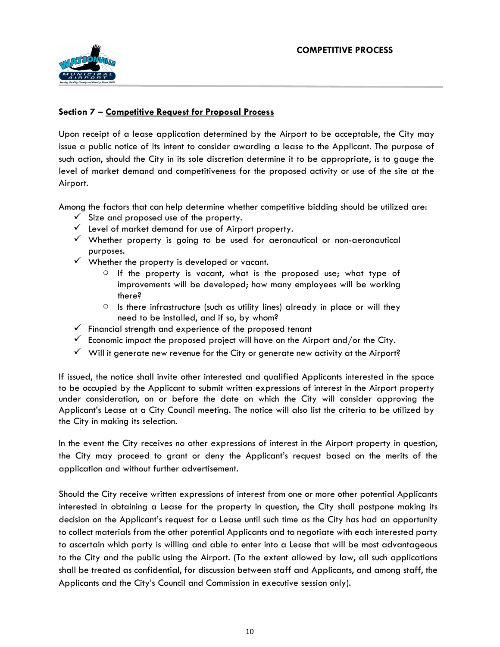

# **Section 7 – Competitive Request for Proposal Process**

Upon receipt of a lease application determined by the Airport to be acceptable, the City may issue a public notice of its intent to consider awarding a lease to the Applicant. The purpose of such action, should the City in its sole discretion determine it to be appropriate, is to gauge the level of market demand and competitiveness for the proposed activity or use of the site at the Airport.

Among the factors that can help determine whether competitive bidding should be utilized are:

- $\checkmark$  Size and proposed use of the property.
- ✓ Level of market demand for use of Airport property.
- $\checkmark$  Whether property is going to be used for aeronautical or non-aeronautical purposes.
- $\checkmark$  Whether the property is developed or vacant.
	- $\circ$  If the property is vacant, what is the proposed use; what type of improvements will be developed; how many employees will be working there?
	- $\circ$  Is there infrastructure (such as utility lines) already in place or will they need to be installed, and if so, by whom?
- $\checkmark$  Financial strength and experience of the proposed tenant
- $\checkmark$  Economic impact the proposed project will have on the Airport and/or the City.
- $\checkmark$  Will it generate new revenue for the City or generate new activity at the Airport?

If issued, the notice shall invite other interested and qualified Applicants interested in the space to be occupied by the Applicant to submit written expressions of interest in the Airport property under consideration, on or before the date on which the City will consider approving the Applicant's Lease at a City Council meeting. The notice will also list the criteria to be utilized by the City in making its selection.

In the event the City receives no other expressions of interest in the Airport property in question, the City may proceed to grant or deny the Applicant's request based on the merits of the application and without further advertisement.

Should the City receive written expressions of interest from one or more other potential Applicants interested in obtaining a Lease for the property in question, the City shall postpone making its decision on the Applicant's request for a Lease until such time as the City has had an opportunity to collect materials from the other potential Applicants and to negotiate with each interested party to ascertain which party is willing and able to enter into a Lease that will be most advantageous to the City and the public using the Airport. (To the extent allowed by law, all such applications shall be treated as confidential, for discussion between staff and Applicants, and among staff, the Applicants and the City's Council and Commission in executive session only).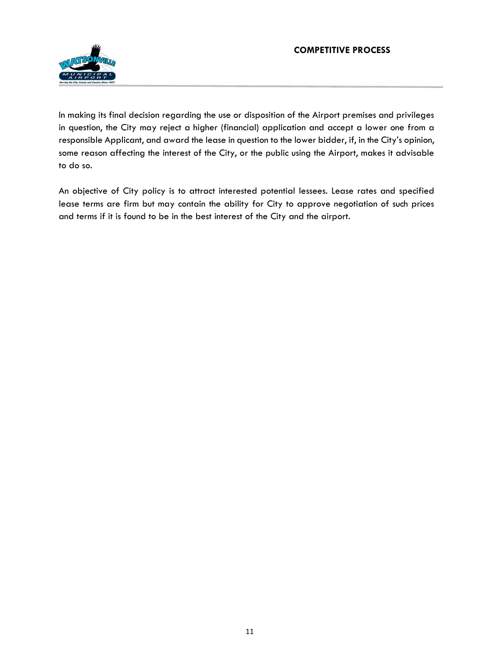

In making its final decision regarding the use or disposition of the Airport premises and privileges in question, the City may reject a higher (financial) application and accept a lower one from a responsible Applicant, and award the lease in question to the lower bidder, if, in the City's opinion, some reason affecting the interest of the City, or the public using the Airport, makes it advisable to do so.

An objective of City policy is to attract interested potential lessees. Lease rates and specified lease terms are firm but may contain the ability for City to approve negotiation of such prices and terms if it is found to be in the best interest of the City and the airport.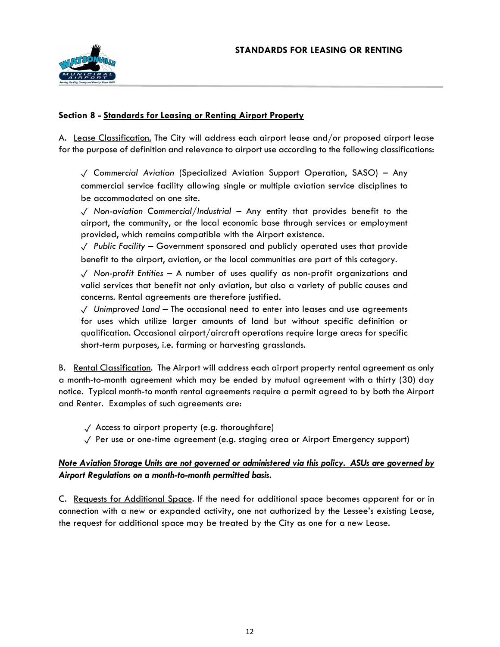

#### **Section 8 - Standards for Leasing or Renting Airport Property**

A. Lease Classification. The City will address each airport lease and/or proposed airport lease for the purpose of definition and relevance to airport use according to the following classifications:

✓ *Commercial Aviation* (Specialized Aviation Support Operation, SASO) – Any commercial service facility allowing single or multiple aviation service disciplines to be accommodated on one site.

✓ *Non-aviation Commercial/Industrial* – Any entity that provides benefit to the airport, the community, or the local economic base through services or employment provided, which remains compatible with the Airport existence.

✓ *Public Facility* – Government sponsored and publicly operated uses that provide benefit to the airport, aviation, or the local communities are part of this category.

✓ *Non-profit Entities* – A number of uses qualify as non-profit organizations and valid services that benefit not only aviation, but also a variety of public causes and concerns. Rental agreements are therefore justified.

✓ *Unimproved Land* – The occasional need to enter into leases and use agreements for uses which utilize larger amounts of land but without specific definition or qualification. Occasional airport/aircraft operations require large areas for specific short-term purposes, i.e. farming or harvesting grasslands.

B. Rental Classification. The Airport will address each airport property rental agreement as only a month-to-month agreement which may be ended by mutual agreement with a thirty (30) day notice. Typical month-to month rental agreements require a permit agreed to by both the Airport and Renter. Examples of such agreements are:

- $\sqrt{\phantom{a}}$  Access to airport property (e.g. thoroughfare)
- ✓ Per use or one-time agreement (e.g. staging area or Airport Emergency support)

# *Note Aviation Storage Units are not governed or administered via this policy. ASUs are governed by Airport Regulations on a month-to-month permitted basis.*

C. Requests for Additional Space. If the need for additional space becomes apparent for or in connection with a new or expanded activity, one not authorized by the Lessee's existing Lease, the request for additional space may be treated by the City as one for a new Lease.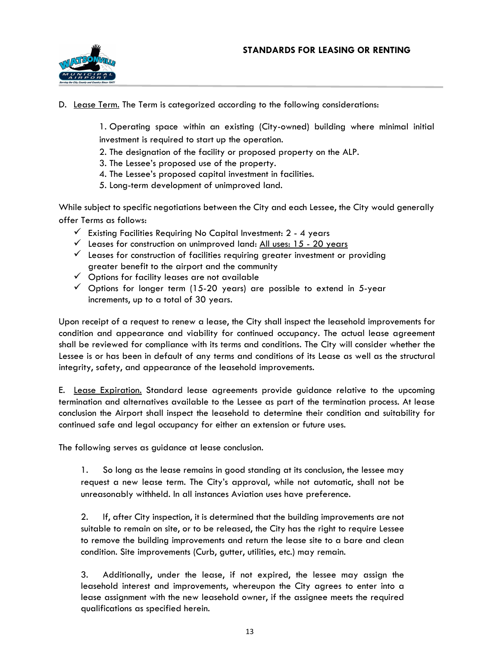

D. Lease Term. The Term is categorized according to the following considerations:

1. Operating space within an existing (City-owned) building where minimal initial investment is required to start up the operation.

- 2. The designation of the facility or proposed property on the ALP.
- 3. The Lessee's proposed use of the property.
- 4. The Lessee's proposed capital investment in facilities.
- 5. Long-term development of unimproved land.

While subject to specific negotiations between the City and each Lessee, the City would generally offer Terms as follows:

- $\checkmark$  Existing Facilities Requiring No Capital Investment: 2 4 years
- $\checkmark$  Leases for construction on unimproved land: All uses: 15 20 years
- $\checkmark$  Leases for construction of facilities requiring greater investment or providing greater benefit to the airport and the community
- $\checkmark$  Options for facility leases are not available
- $\checkmark$  Options for longer term (15-20 years) are possible to extend in 5-year increments, up to a total of 30 years.

Upon receipt of a request to renew a lease, the City shall inspect the leasehold improvements for condition and appearance and viability for continued occupancy. The actual lease agreement shall be reviewed for compliance with its terms and conditions. The City will consider whether the Lessee is or has been in default of any terms and conditions of its Lease as well as the structural integrity, safety, and appearance of the leasehold improvements.

E. Lease Expiration. Standard lease agreements provide guidance relative to the upcoming termination and alternatives available to the Lessee as part of the termination process. At lease conclusion the Airport shall inspect the leasehold to determine their condition and suitability for continued safe and legal occupancy for either an extension or future uses.

The following serves as guidance at lease conclusion.

1. So long as the lease remains in good standing at its conclusion, the lessee may request a new lease term. The City's approval, while not automatic, shall not be unreasonably withheld. In all instances Aviation uses have preference.

2. If, after City inspection, it is determined that the building improvements are not suitable to remain on site, or to be released, the City has the right to require Lessee to remove the building improvements and return the lease site to a bare and clean condition. Site improvements (Curb, gutter, utilities, etc.) may remain.

3. Additionally, under the lease, if not expired, the lessee may assign the leasehold interest and improvements, whereupon the City agrees to enter into a lease assignment with the new leasehold owner, if the assignee meets the required qualifications as specified herein.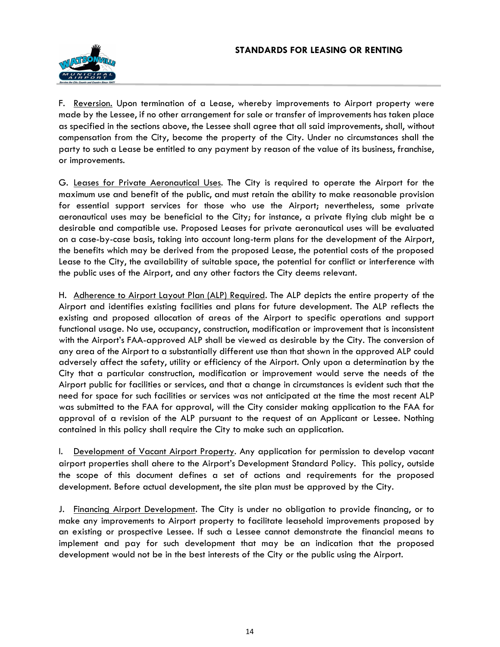

F. Reversion. Upon termination of a Lease, whereby improvements to Airport property were made by the Lessee, if no other arrangement for sale or transfer of improvements has taken place as specified in the sections above, the Lessee shall agree that all said improvements, shall, without compensation from the City, become the property of the City. Under no circumstances shall the party to such a Lease be entitled to any payment by reason of the value of its business, franchise, or improvements.

G. Leases for Private Aeronautical Uses. The City is required to operate the Airport for the maximum use and benefit of the public, and must retain the ability to make reasonable provision for essential support services for those who use the Airport; nevertheless, some private aeronautical uses may be beneficial to the City; for instance, a private flying club might be a desirable and compatible use. Proposed Leases for private aeronautical uses will be evaluated on a case-by-case basis, taking into account long-term plans for the development of the Airport, the benefits which may be derived from the proposed Lease, the potential costs of the proposed Lease to the City, the availability of suitable space, the potential for conflict or interference with the public uses of the Airport, and any other factors the City deems relevant.

H. Adherence to Airport Layout Plan (ALP) Required. The ALP depicts the entire property of the Airport and identifies existing facilities and plans for future development. The ALP reflects the existing and proposed allocation of areas of the Airport to specific operations and support functional usage. No use, occupancy, construction, modification or improvement that is inconsistent with the Airport's FAA-approved ALP shall be viewed as desirable by the City. The conversion of any area of the Airport to a substantially different use than that shown in the approved ALP could adversely affect the safety, utility or efficiency of the Airport. Only upon a determination by the City that a particular construction, modification or improvement would serve the needs of the Airport public for facilities or services, and that a change in circumstances is evident such that the need for space for such facilities or services was not anticipated at the time the most recent ALP was submitted to the FAA for approval, will the City consider making application to the FAA for approval of a revision of the ALP pursuant to the request of an Applicant or Lessee. Nothing contained in this policy shall require the City to make such an application.

I. Development of Vacant Airport Property. Any application for permission to develop vacant airport properties shall ahere to the Airport's Development Standard Policy. This policy, outside the scope of this document defines a set of actions and requirements for the proposed development. Before actual development, the site plan must be approved by the City.

J. Financing Airport Development. The City is under no obligation to provide financing, or to make any improvements to Airport property to facilitate leasehold improvements proposed by an existing or prospective Lessee. If such a Lessee cannot demonstrate the financial means to implement and pay for such development that may be an indication that the proposed development would not be in the best interests of the City or the public using the Airport.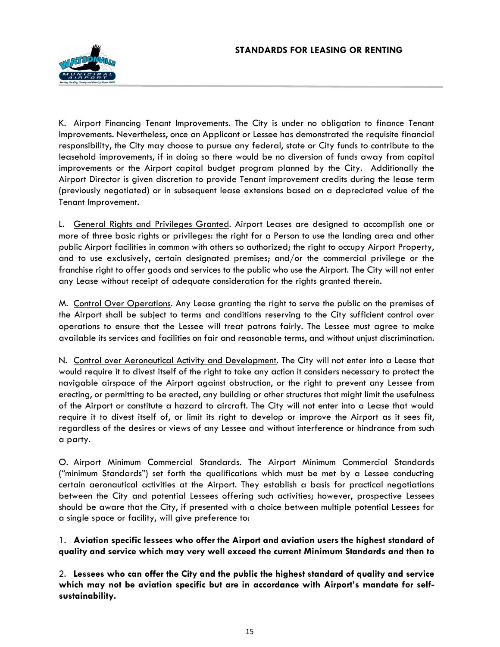

K. Airport Financing Tenant Improvements. The City is under no obligation to finance Tenant Improvements. Nevertheless, once an Applicant or Lessee has demonstrated the requisite financial responsibility, the City may choose to pursue any federal, state or City funds to contribute to the leasehold improvements, if in doing so there would be no diversion of funds away from capital improvements or the Airport capital budget program planned by the City. Additionally the Airport Director is given discretion to provide Tenant improvement credits during the lease term (previously negotiated) or in subsequent lease extensions based on a depreciated value of the Tenant Improvement.

L. General Rights and Privileges Granted. Airport Leases are designed to accomplish one or more of three basic rights or privileges: the right for a Person to use the landing area and other public Airport facilities in common with others so authorized; the right to occupy Airport Property, and to use exclusively, certain designated premises; and/or the commercial privilege or the franchise right to offer goods and services to the public who use the Airport. The City will not enter any Lease without receipt of adequate consideration for the rights granted therein.

M. Control Over Operations. Any Lease granting the right to serve the public on the premises of the Airport shall be subject to terms and conditions reserving to the City sufficient control over operations to ensure that the Lessee will treat patrons fairly. The Lessee must agree to make available its services and facilities on fair and reasonable terms, and without unjust discrimination.

N. Control over Aeronautical Activity and Development. The City will not enter into a Lease that would require it to divest itself of the right to take any action it considers necessary to protect the navigable airspace of the Airport against obstruction, or the right to prevent any Lessee from erecting, or permitting to be erected, any building or other structures that might limit the usefulness of the Airport or constitute a hazard to aircraft. The City will not enter into a Lease that would require it to divest itself of, or limit its right to develop or improve the Airport as it sees fit, regardless of the desires or views of any Lessee and without interference or hindrance from such a party.

O. Airport Minimum Commercial Standards. The Airport Minimum Commercial Standards ("minimum Standards") set forth the qualifications which must be met by a Lessee conducting certain aeronautical activities at the Airport. They establish a basis for practical negotiations between the City and potential Lessees offering such activities; however, prospective Lessees should be aware that the City, if presented with a choice between multiple potential Lessees for a single space or facility, will give preference to:

1. **Aviation specific lessees who offer the Airport and aviation users the highest standard of quality and service which may very well exceed the current Minimum Standards and then to**

2. **Lessees who can offer the City and the public the highest standard of quality and service which may not be aviation specific but are in accordance with Airport's mandate for selfsustainability.**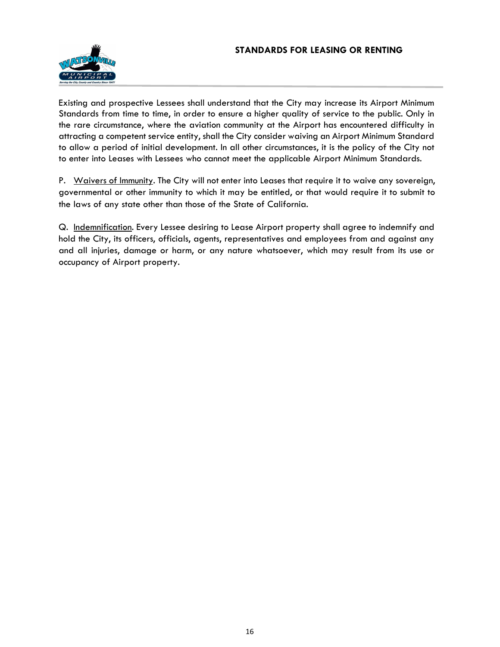#### **STANDARDS FOR LEASING OR RENTING**



Existing and prospective Lessees shall understand that the City may increase its Airport Minimum Standards from time to time, in order to ensure a higher quality of service to the public. Only in the rare circumstance, where the aviation community at the Airport has encountered difficulty in attracting a competent service entity, shall the City consider waiving an Airport Minimum Standard to allow a period of initial development. In all other circumstances, it is the policy of the City not to enter into Leases with Lessees who cannot meet the applicable Airport Minimum Standards.

P. Waivers of Immunity. The City will not enter into Leases that require it to waive any sovereign, governmental or other immunity to which it may be entitled, or that would require it to submit to the laws of any state other than those of the State of California.

Q. Indemnification. Every Lessee desiring to Lease Airport property shall agree to indemnify and hold the City, its officers, officials, agents, representatives and employees from and against any and all injuries, damage or harm, or any nature whatsoever, which may result from its use or occupancy of Airport property.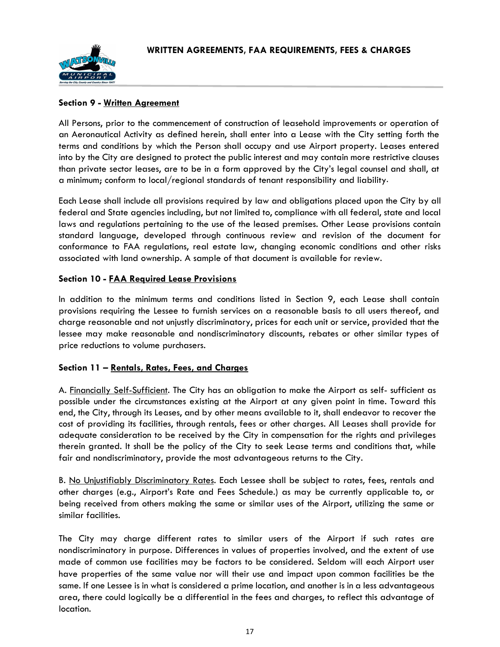

#### **Section 9 - Written Agreement**

All Persons, prior to the commencement of construction of leasehold improvements or operation of an Aeronautical Activity as defined herein, shall enter into a Lease with the City setting forth the terms and conditions by which the Person shall occupy and use Airport property. Leases entered into by the City are designed to protect the public interest and may contain more restrictive clauses than private sector leases, are to be in a form approved by the City's legal counsel and shall, at a minimum; conform to local/regional standards of tenant responsibility and liability.

Each Lease shall include all provisions required by law and obligations placed upon the City by all federal and State agencies including, but not limited to, compliance with all federal, state and local laws and regulations pertaining to the use of the leased premises. Other Lease provisions contain standard language, developed through continuous review and revision of the document for conformance to FAA regulations, real estate law, changing economic conditions and other risks associated with land ownership. A sample of that document is available for review.

# **Section 10 - FAA Required Lease Provisions**

In addition to the minimum terms and conditions listed in Section 9, each Lease shall contain provisions requiring the Lessee to furnish services on a reasonable basis to all users thereof, and charge reasonable and not unjustly discriminatory, prices for each unit or service, provided that the lessee may make reasonable and nondiscriminatory discounts, rebates or other similar types of price reductions to volume purchasers.

#### **Section 11 – Rentals, Rates, Fees, and Charges**

A. Financially Self-Sufficient. The City has an obligation to make the Airport as self- sufficient as possible under the circumstances existing at the Airport at any given point in time. Toward this end, the City, through its Leases, and by other means available to it, shall endeavor to recover the cost of providing its facilities, through rentals, fees or other charges. All Leases shall provide for adequate consideration to be received by the City in compensation for the rights and privileges therein granted. It shall be the policy of the City to seek Lease terms and conditions that, while fair and nondiscriminatory, provide the most advantageous returns to the City.

B. No Unjustifiably Discriminatory Rates. Each Lessee shall be subject to rates, fees, rentals and other charges (e.g., Airport's Rate and Fees Schedule.) as may be currently applicable to, or being received from others making the same or similar uses of the Airport, utilizing the same or similar facilities.

The City may charge different rates to similar users of the Airport if such rates are nondiscriminatory in purpose. Differences in values of properties involved, and the extent of use made of common use facilities may be factors to be considered. Seldom will each Airport user have properties of the same value nor will their use and impact upon common facilities be the same. If one Lessee is in what is considered a prime location, and another is in a less advantageous area, there could logically be a differential in the fees and charges, to reflect this advantage of location.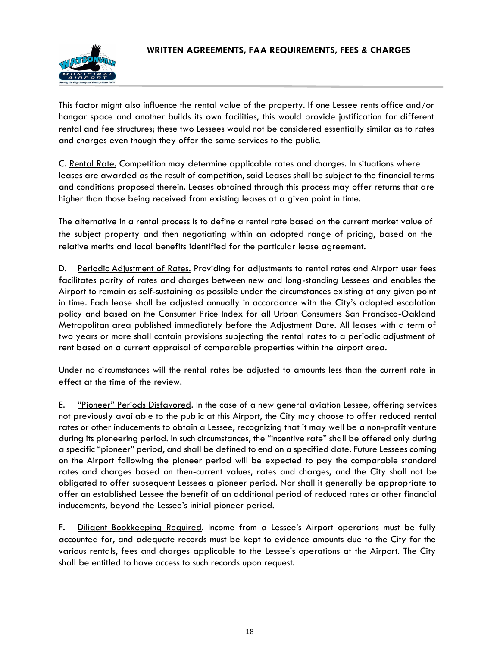

This factor might also influence the rental value of the property. If one Lessee rents office and/or hangar space and another builds its own facilities, this would provide justification for different rental and fee structures; these two Lessees would not be considered essentially similar as to rates and charges even though they offer the same services to the public.

C. Rental Rate. Competition may determine applicable rates and charges. In situations where leases are awarded as the result of competition, said Leases shall be subject to the financial terms and conditions proposed therein. Leases obtained through this process may offer returns that are higher than those being received from existing leases at a given point in time.

The alternative in a rental process is to define a rental rate based on the current market value of the subject property and then negotiating within an adopted range of pricing, based on the relative merits and local benefits identified for the particular lease agreement.

D. Periodic Adjustment of Rates. Providing for adjustments to rental rates and Airport user fees facilitates parity of rates and charges between new and long-standing Lessees and enables the Airport to remain as self-sustaining as possible under the circumstances existing at any given point in time. Each lease shall be adjusted annually in accordance with the City's adopted escalation policy and based on the Consumer Price Index for all Urban Consumers San Francisco-Oakland Metropolitan area published immediately before the Adjustment Date. All leases with a term of two years or more shall contain provisions subjecting the rental rates to a periodic adjustment of rent based on a current appraisal of comparable properties within the airport area.

Under no circumstances will the rental rates be adjusted to amounts less than the current rate in effect at the time of the review.

E. "Pioneer" Periods Disfavored. In the case of a new general aviation Lessee, offering services not previously available to the public at this Airport, the City may choose to offer reduced rental rates or other inducements to obtain a Lessee, recognizing that it may well be a non-profit venture during its pioneering period. In such circumstances, the "incentive rate" shall be offered only during a specific "pioneer" period, and shall be defined to end on a specified date. Future Lessees coming on the Airport following the pioneer period will be expected to pay the comparable standard rates and charges based on then-current values, rates and charges, and the City shall not be obligated to offer subsequent Lessees a pioneer period. Nor shall it generally be appropriate to offer an established Lessee the benefit of an additional period of reduced rates or other financial inducements, beyond the Lessee's initial pioneer period.

F. Diligent Bookkeeping Required. Income from a Lessee's Airport operations must be fully accounted for, and adequate records must be kept to evidence amounts due to the City for the various rentals, fees and charges applicable to the Lessee's operations at the Airport. The City shall be entitled to have access to such records upon request.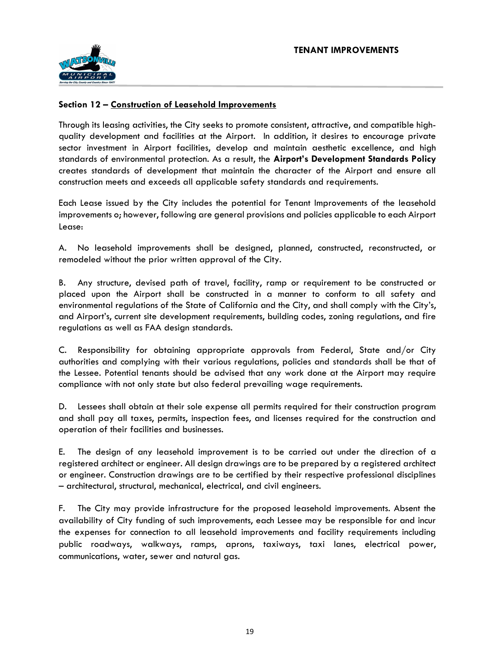# **Section 12 – Construction of Leasehold Improvements**

Through its leasing activities, the City seeks to promote consistent, attractive, and compatible highquality development and facilities at the Airport. In addition, it desires to encourage private sector investment in Airport facilities, develop and maintain aesthetic excellence, and high standards of environmental protection. As a result, the **Airport's Development Standards Policy** creates standards of development that maintain the character of the Airport and ensure all construction meets and exceeds all applicable safety standards and requirements.

Each Lease issued by the City includes the potential for Tenant Improvements of the leasehold improvements o; however, following are general provisions and policies applicable to each Airport Lease:

A. No leasehold improvements shall be designed, planned, constructed, reconstructed, or remodeled without the prior written approval of the City.

B. Any structure, devised path of travel, facility, ramp or requirement to be constructed or placed upon the Airport shall be constructed in a manner to conform to all safety and environmental regulations of the State of California and the City, and shall comply with the City's, and Airport's, current site development requirements, building codes, zoning regulations, and fire regulations as well as FAA design standards.

C. Responsibility for obtaining appropriate approvals from Federal, State and/or City authorities and complying with their various regulations, policies and standards shall be that of the Lessee. Potential tenants should be advised that any work done at the Airport may require compliance with not only state but also federal prevailing wage requirements.

D. Lessees shall obtain at their sole expense all permits required for their construction program and shall pay all taxes, permits, inspection fees, and licenses required for the construction and operation of their facilities and businesses.

E. The design of any leasehold improvement is to be carried out under the direction of a registered architect or engineer. All design drawings are to be prepared by a registered architect or engineer. Construction drawings are to be certified by their respective professional disciplines – architectural, structural, mechanical, electrical, and civil engineers.

F. The City may provide infrastructure for the proposed leasehold improvements. Absent the availability of City funding of such improvements, each Lessee may be responsible for and incur the expenses for connection to all leasehold improvements and facility requirements including public roadways, walkways, ramps, aprons, taxiways, taxi lanes, electrical power, communications, water, sewer and natural gas.